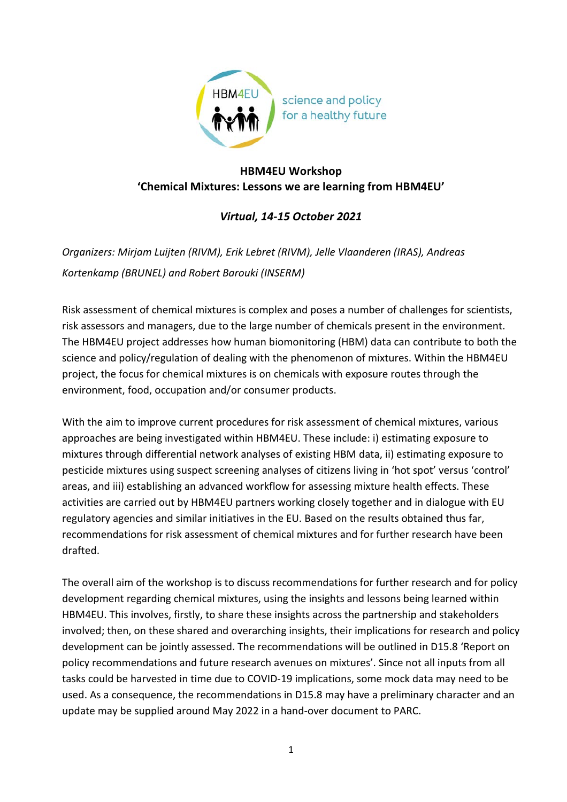

## **HBM4EU Workshop 'Chemical Mixtures: Lessons we are learning from HBM4EU'**

## *Virtual, 14-15 October 2021*

*Organizers: Mirjam Luijten (RIVM), Erik Lebret (RIVM), Jelle Vlaanderen (IRAS), Andreas Kortenkamp (BRUNEL) and Robert Barouki (INSERM)*

Risk assessment of chemical mixtures is complex and poses a number of challenges for scientists, risk assessors and managers, due to the large number of chemicals present in the environment. The HBM4EU project addresses how human biomonitoring (HBM) data can contribute to both the science and policy/regulation of dealing with the phenomenon of mixtures. Within the HBM4EU project, the focus for chemical mixtures is on chemicals with exposure routes through the environment, food, occupation and/or consumer products.

With the aim to improve current procedures for risk assessment of chemical mixtures, various approaches are being investigated within HBM4EU. These include: i) estimating exposure to mixtures through differential network analyses of existing HBM data, ii) estimating exposure to pesticide mixtures using suspect screening analyses of citizens living in 'hot spot' versus 'control' areas, and iii) establishing an advanced workflow for assessing mixture health effects. These activities are carried out by HBM4EU partners working closely together and in dialogue with EU regulatory agencies and similar initiatives in the EU. Based on the results obtained thus far, recommendations for risk assessment of chemical mixtures and for further research have been drafted.

The overall aim of the workshop is to discuss recommendations for further research and for policy development regarding chemical mixtures, using the insights and lessons being learned within HBM4EU. This involves, firstly, to share these insights across the partnership and stakeholders involved; then, on these shared and overarching insights, their implications for research and policy development can be jointly assessed. The recommendations will be outlined in D15.8 'Report on policy recommendations and future research avenues on mixtures'. Since not all inputs from all tasks could be harvested in time due to COVID-19 implications, some mock data may need to be used. As a consequence, the recommendations in D15.8 may have a preliminary character and an update may be supplied around May 2022 in a hand-over document to PARC.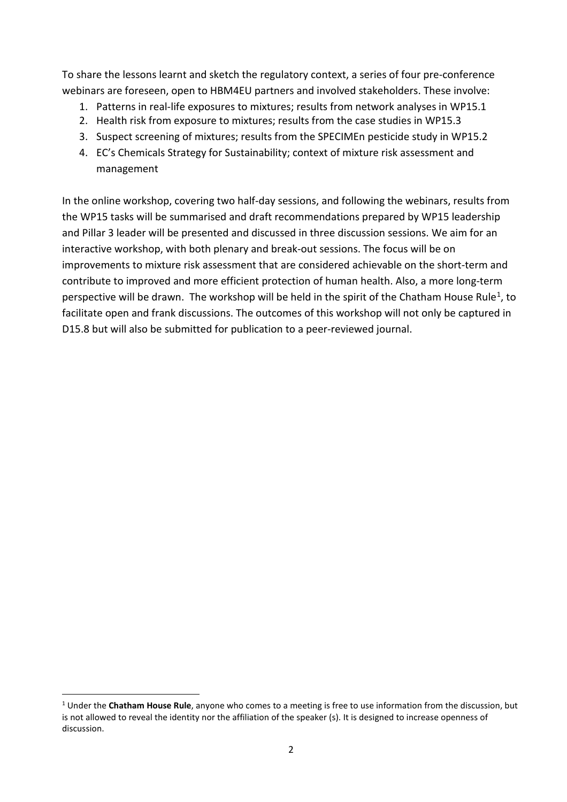To share the lessons learnt and sketch the regulatory context, a series of four pre-conference webinars are foreseen, open to HBM4EU partners and involved stakeholders. These involve:

- 1. Patterns in real-life exposures to mixtures; results from network analyses in WP15.1
- 2. Health risk from exposure to mixtures; results from the case studies in WP15.3
- 3. Suspect screening of mixtures; results from the SPECIMEn pesticide study in WP15.2
- 4. EC's Chemicals Strategy for Sustainability; context of mixture risk assessment and management

In the online workshop, covering two half-day sessions, and following the webinars, results from the WP15 tasks will be summarised and draft recommendations prepared by WP15 leadership and Pillar 3 leader will be presented and discussed in three discussion sessions. We aim for an interactive workshop, with both plenary and break-out sessions. The focus will be on improvements to mixture risk assessment that are considered achievable on the short-term and contribute to improved and more efficient protection of human health. Also, a more long-term perspective will be drawn. The workshop will be held in the spirit of the Chatham House Rule<sup>1</sup>, to facilitate open and frank discussions. The outcomes of this workshop will not only be captured in D15.8 but will also be submitted for publication to a peer-reviewed journal.

<span id="page-1-0"></span><sup>1</sup> Under the **Chatham House Rule**, anyone who comes to a meeting is free to use information from the discussion, but is not allowed to reveal the identity nor the affiliation of the speaker (s). It is designed to increase openness of discussion.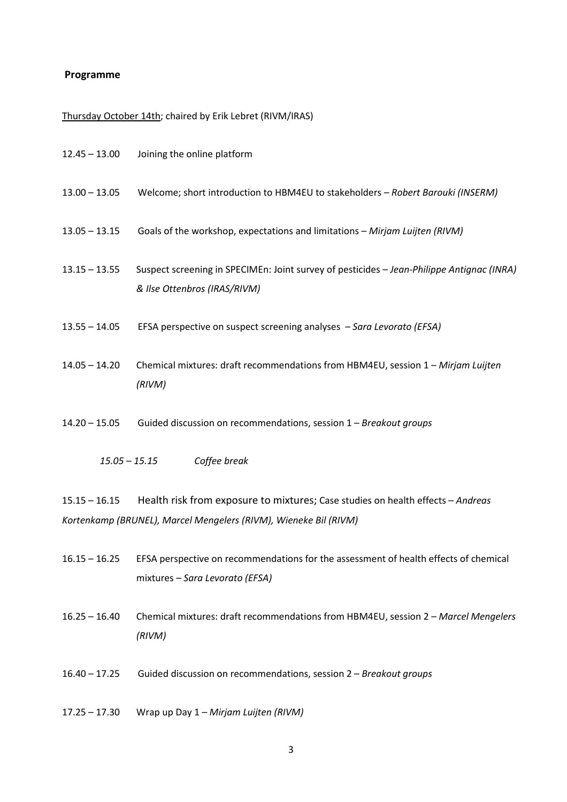## **Programme**

## Thursday October 14th; chaired by Erik Lebret (RIVM/IRAS)

| $12.45 - 13.00$ | Joining the online platform                                                                                                                         |
|-----------------|-----------------------------------------------------------------------------------------------------------------------------------------------------|
| $13.00 - 13.05$ | Welcome; short introduction to HBM4EU to stakeholders - Robert Barouki (INSERM)                                                                     |
| $13.05 - 13.15$ | Goals of the workshop, expectations and limitations - Mirjam Luijten (RIVM)                                                                         |
| $13.15 - 13.55$ | Suspect screening in SPECIMEn: Joint survey of pesticides - Jean-Philippe Antignac (INRA)<br>& Ilse Ottenbros (IRAS/RIVM)                           |
| $13.55 - 14.05$ | EFSA perspective on suspect screening analyses - Sara Levorato (EFSA)                                                                               |
| $14.05 - 14.20$ | Chemical mixtures: draft recommendations from HBM4EU, session 1 - Mirjam Luijten<br>(RIVM)                                                          |
| $14.20 - 15.05$ | Guided discussion on recommendations, session 1 - Breakout groups                                                                                   |
| $15.05 - 15.15$ | Coffee break                                                                                                                                        |
| $15.15 - 16.15$ | Health risk from exposure to mixtures; Case studies on health effects - Andreas<br>Kortenkamp (BRUNEL), Marcel Mengelers (RIVM), Wieneke Bil (RIVM) |
| $16.15 - 16.25$ | EFSA perspective on recommendations for the assessment of health effects of chemical<br>mixtures - Sara Levorato (EFSA)                             |

- 16.25 16.40 Chemical mixtures: draft recommendations from HBM4EU, session 2 *Marcel Mengelers (RIVM)*
- 16.40 17.25 Guided discussion on recommendations, session 2 *Breakout groups*
- 17.25 17.30 Wrap up Day 1 *Mirjam Luijten (RIVM)*